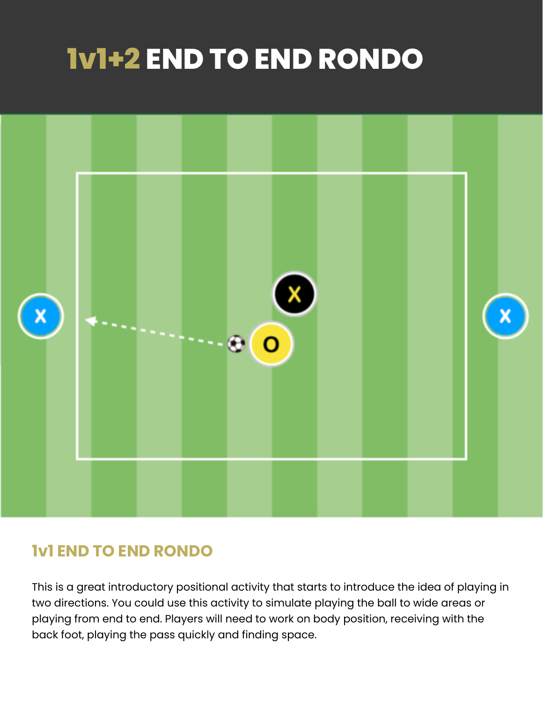# **1v1+2 END TO END RONDO**



## **1v1 END TO END RONDO**

This is a great introductory positional activity that starts to introduce the idea of playing in two directions. You could use this activity to simulate playing the ball to wide areas or playing from end to end. Players will need to work on body position, receiving with the back foot, playing the pass quickly and finding space.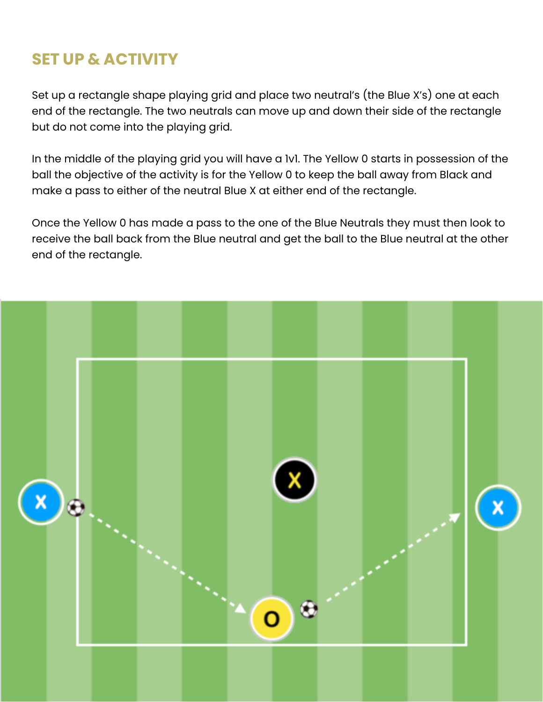### **SET UP & ACTIVITY**

Set up a rectangle shape playing grid and place two neutral's (the Blue X's) one at each end of the rectangle. The two neutrals can move up and down their side of the rectangle but do not come into the playing grid.

In the middle of the playing grid you will have a 1v1. The Yellow 0 starts in possession of the ball the objective of the activity is for the Yellow 0 to keep the ball away from Black and make a pass to either of the neutral Blue X at either end of the rectangle.

Once the Yellow 0 has made a pass to the one of the Blue Neutrals they must then look to receive the ball back from the Blue neutral and get the ball to the Blue neutral at the other end of the rectangle.

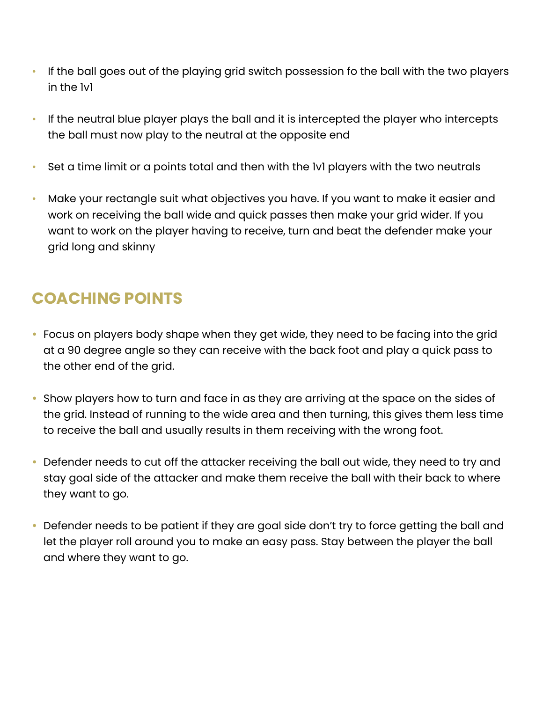- If the ball goes out of the playing grid switch possession fo the ball with the two players in the 1v1
- If the neutral blue player plays the ball and it is intercepted the player who intercepts the ball must now play to the neutral at the opposite end
- Set a time limit or a points total and then with the IvI players with the two neutrals
- Make your rectangle suit what objectives you have. If you want to make it easier and work on receiving the ball wide and quick passes then make your grid wider. If you want to work on the player having to receive, turn and beat the defender make your grid long and skinny

## **COACHING POINTS**

- Focus on players body shape when they get wide, they need to be facing into the grid at a 90 degree angle so they can receive with the back foot and play a quick pass to the other end of the grid.
- Show players how to turn and face in as they are arriving at the space on the sides of the grid. Instead of running to the wide area and then turning, this gives them less time to receive the ball and usually results in them receiving with the wrong foot.
- Defender needs to cut off the attacker receiving the ball out wide, they need to try and stay goal side of the attacker and make them receive the ball with their back to where they want to go.
- Defender needs to be patient if they are goal side don't try to force getting the ball and let the player roll around you to make an easy pass. Stay between the player the ball and where they want to go.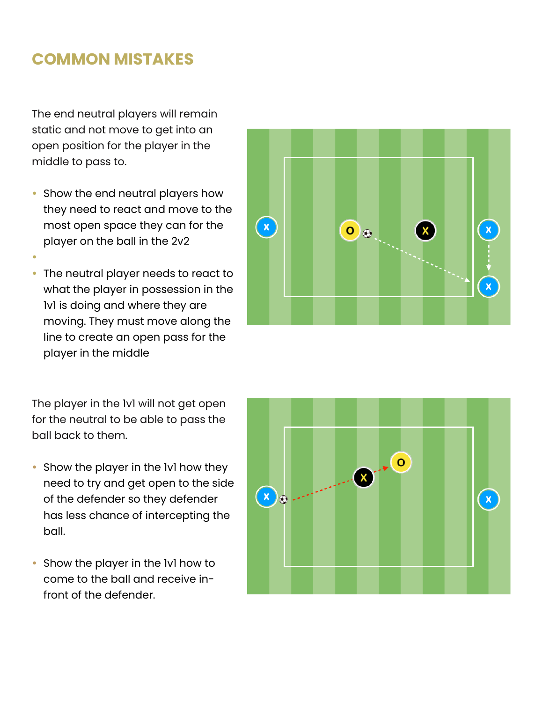#### **COMMON MISTAKES**

The end neutral players will remain static and not move to get into an open position for the player in the middle to pass to.

• Show the end neutral players how they need to react and move to the most open space they can for the player on the ball in the 2v2

•

• The neutral player needs to react to what the player in possession in the 1v1 is doing and where they are moving. They must move along the line to create an open pass for the player in the middle



The player in the 1v1 will not get open for the neutral to be able to pass the ball back to them.

- Show the player in the IvI how they need to try and get open to the side of the defender so they defender has less chance of intercepting the ball.
- Show the player in the 1v1 how to come to the ball and receive infront of the defender.